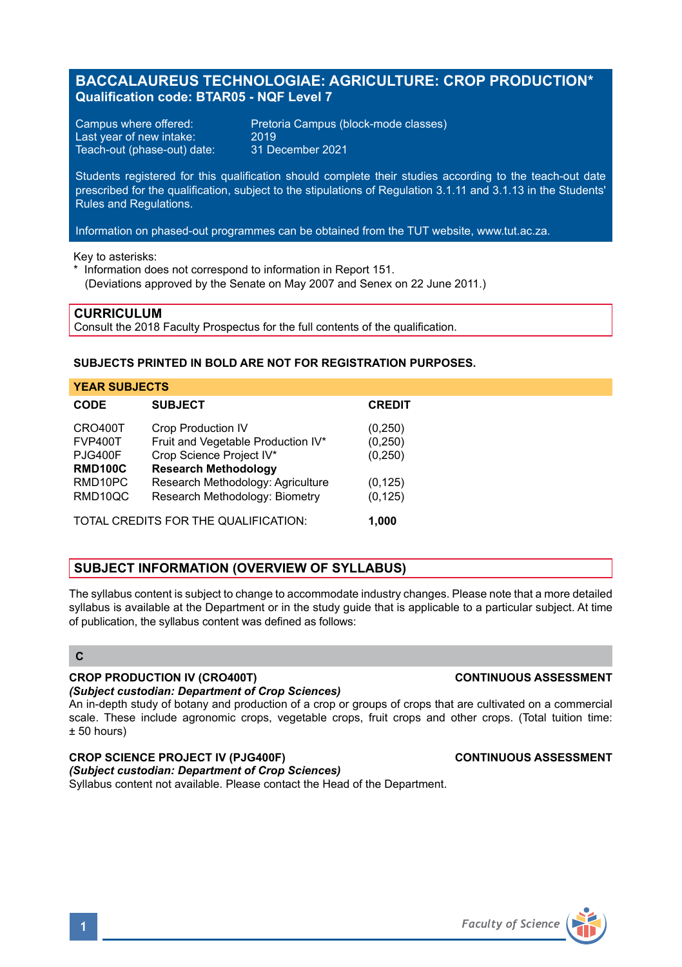# **BACCALAUREUS TECHNOLOGIAE: AGRICULTURE: CROP PRODUCTION\* Qualification code: BTAR05 - NQF Level 7**

Last year of new intake: 2019<br>Teach-out (phase-out) date: 31 December 2021 Teach-out (phase-out) date:

Campus where offered: Pretoria Campus (block-mode classes)<br>Last vear of new intake: 2019

Students registered for this qualification should complete their studies according to the teach-out date prescribed for the qualification, subject to the stipulations of Regulation 3.1.11 and 3.1.13 in the Students' Rules and Regulations.

Information on phased-out programmes can be obtained from the TUT website, www.tut.ac.za.

Key to asterisks:

\* Information does not correspond to information in Report 151. (Deviations approved by the Senate on May 2007 and Senex on 22 June 2011.)

### **CURRICULUM**

Consult the 2018 Faculty Prospectus for the full contents of the qualification.

# **SUBJECTS PRINTED IN BOLD ARE NOT FOR REGISTRATION PURPOSES.**

| <b>YEAR SUBJECTS</b>                          |                                    |               |
|-----------------------------------------------|------------------------------------|---------------|
| CODE                                          | <b>SUBJECT</b>                     | <b>CREDIT</b> |
| CRO400T                                       | <b>Crop Production IV</b>          | (0, 250)      |
| <b>FVP400T</b>                                | Fruit and Vegetable Production IV* | (0, 250)      |
| <b>PJG400F</b>                                | Crop Science Project IV*           | (0, 250)      |
| <b>RMD100C</b>                                | <b>Research Methodology</b>        |               |
| RMD <sub>10</sub> PC                          | Research Methodology: Agriculture  | (0, 125)      |
| RMD10QC                                       | Research Methodology: Biometry     | (0, 125)      |
| TOTAL CREDITS FOR THE QUALIFICATION:<br>1.000 |                                    |               |

# **SUBJECT INFORMATION (OVERVIEW OF SYLLABUS)**

The syllabus content is subject to change to accommodate industry changes. Please note that a more detailed syllabus is available at the Department or in the study guide that is applicable to a particular subject. At time of publication, the syllabus content was defined as follows:

# **C**

### **CROP PRODUCTION IV (CRO400T) CONTINUOUS ASSESSMENT**

### *(Subject custodian: Department of Crop Sciences)*

An in-depth study of botany and production of a crop or groups of crops that are cultivated on a commercial scale. These include agronomic crops, vegetable crops, fruit crops and other crops. (Total tuition time: ± 50 hours)

### **CROP SCIENCE PROJECT IV (PJG400F) CONTINUOUS ASSESSMENT**

### *(Subject custodian: Department of Crop Sciences)*

Syllabus content not available. Please contact the Head of the Department.